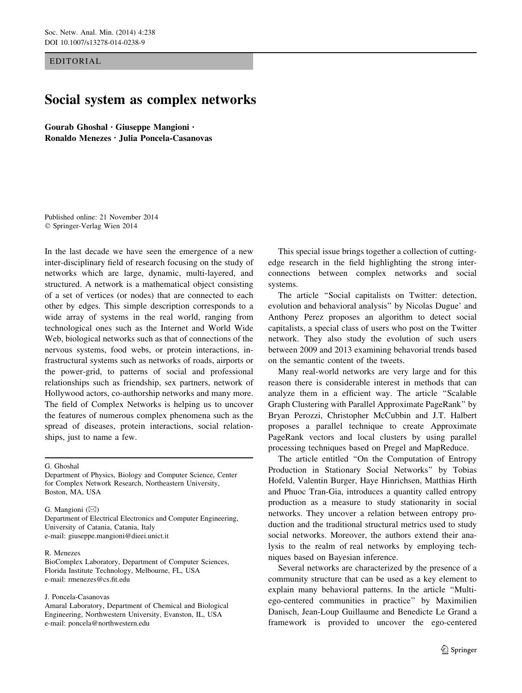EDITORIAL

# Social system as complex networks

Gourab Ghoshal • Giuseppe Mangioni • Ronaldo Menezes • Julia Poncela-Casanovas

Published online: 21 November 2014 - Springer-Verlag Wien 2014

In the last decade we have seen the emergence of a new inter-disciplinary field of research focusing on the study of networks which are large, dynamic, multi-layered, and structured. A network is a mathematical object consisting of a set of vertices (or nodes) that are connected to each other by edges. This simple description corresponds to a wide array of systems in the real world, ranging from technological ones such as the Internet and World Wide Web, biological networks such as that of connections of the nervous systems, food webs, or protein interactions, infrastructural systems such as networks of roads, airports or the power-grid, to patterns of social and professional relationships such as friendship, sex partners, network of Hollywood actors, co-authorship networks and many more. The field of Complex Networks is helping us to uncover the features of numerous complex phenomena such as the spread of diseases, protein interactions, social relationships, just to name a few.

## G. Ghoshal

Department of Physics, Biology and Computer Science, Center for Complex Network Research, Northeastern University, Boston, MA, USA

### G. Mangioni  $(\boxtimes)$

Department of Electrical Electronics and Computer Engineering, University of Catania, Catania, Italy e-mail: giuseppe.mangioni@dieei.unict.it

#### R. Menezes

BioComplex Laboratory, Department of Computer Sciences, Florida Institute Technology, Melbourne, FL, USA e-mail: rmenezes@cs.fit.edu

### J. Poncela-Casanovas

Amaral Laboratory, Department of Chemical and Biological Engineering, Northwestern University, Evanston, IL, USA e-mail: poncela@northwestern.edu

This special issue brings together a collection of cuttingedge research in the field highlighting the strong interconnections between complex networks and social systems.

The article ''Social capitalists on Twitter: detection, evolution and behavioral analysis'' by Nicolas Dugue' and Anthony Perez proposes an algorithm to detect social capitalists, a special class of users who post on the Twitter network. They also study the evolution of such users between 2009 and 2013 examining behavorial trends based on the semantic content of the tweets.

Many real-world networks are very large and for this reason there is considerable interest in methods that can analyze them in a efficient way. The article ''Scalable Graph Clustering with Parallel Approximate PageRank'' by Bryan Perozzi, Christopher McCubbin and J.T. Halbert proposes a parallel technique to create Approximate PageRank vectors and local clusters by using parallel processing techniques based on Pregel and MapReduce.

The article entitled ''On the Computation of Entropy Production in Stationary Social Networks'' by Tobias Hofeld, Valentin Burger, Haye Hinrichsen, Matthias Hirth and Phuoc Tran-Gia, introduces a quantity called entropy production as a measure to study stationarity in social networks. They uncover a relation between entropy production and the traditional structural metrics used to study social networks. Moreover, the authors extend their analysis to the realm of real networks by employing techniques based on Bayesian inference.

Several networks are characterized by the presence of a community structure that can be used as a key element to explain many behavioral patterns. In the article ''Multiego-centered communities in practice'' by Maximilien Danisch, Jean-Loup Guillaume and Benedicte Le Grand a framework is provided to uncover the ego-centered